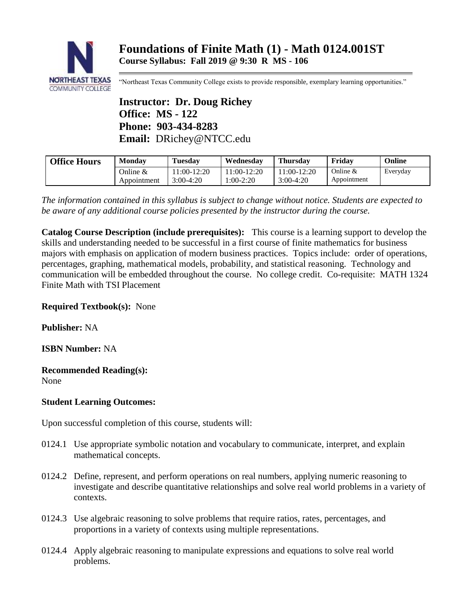

"Northeast Texas Community College exists to provide responsible, exemplary learning opportunities."

**Instructor: Dr. Doug Richey Office: MS - 122 Phone: 903-434-8283 Email:** DRichey@NTCC.edu

| <b>Office Hours</b> | <b>Monday</b> | <b>Tuesday</b> | Wednesdav    | <b>Thursday</b> | Fridav      | Online   |
|---------------------|---------------|----------------|--------------|-----------------|-------------|----------|
|                     | Online $\&$   | $1:00-12:20$   | $1:00-12:20$ | $1:00-12:20$    | Online $&$  | Everyday |
|                     | Appointment   | 3:00-4:20      | 1:00-2:20    | $3:00-4:20$     | Appointment |          |

*The information contained in this syllabus is subject to change without notice. Students are expected to be aware of any additional course policies presented by the instructor during the course.*

**Catalog Course Description (include prerequisites):** This course is a learning support to develop the skills and understanding needed to be successful in a first course of finite mathematics for business majors with emphasis on application of modern business practices. Topics include: order of operations, percentages, graphing, mathematical models, probability, and statistical reasoning. Technology and communication will be embedded throughout the course. No college credit. Co-requisite: MATH 1324 Finite Math with TSI Placement

**Required Textbook(s):** None

**Publisher:** NA

**ISBN Number:** NA

**Recommended Reading(s):** None

# **Student Learning Outcomes:**

Upon successful completion of this course, students will:

- 0124.1 Use appropriate symbolic notation and vocabulary to communicate, interpret, and explain mathematical concepts.
- 0124.2 Define, represent, and perform operations on real numbers, applying numeric reasoning to investigate and describe quantitative relationships and solve real world problems in a variety of contexts.
- 0124.3 Use algebraic reasoning to solve problems that require ratios, rates, percentages, and proportions in a variety of contexts using multiple representations.
- 0124.4 Apply algebraic reasoning to manipulate expressions and equations to solve real world problems.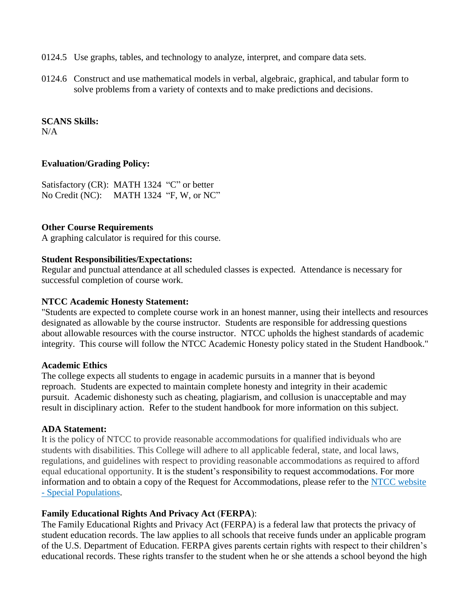- 0124.5 Use graphs, tables, and technology to analyze, interpret, and compare data sets.
- 0124.6 Construct and use mathematical models in verbal, algebraic, graphical, and tabular form to solve problems from a variety of contexts and to make predictions and decisions.

#### **SCANS Skills:**

 $N/A$ 

## **Evaluation/Grading Policy:**

Satisfactory (CR): MATH 1324 "C" or better No Credit (NC): MATH 1324 "F, W, or NC"

## **Other Course Requirements**

A graphing calculator is required for this course.

### **Student Responsibilities/Expectations:**

Regular and punctual attendance at all scheduled classes is expected. Attendance is necessary for successful completion of course work.

### **NTCC Academic Honesty Statement:**

"Students are expected to complete course work in an honest manner, using their intellects and resources designated as allowable by the course instructor. Students are responsible for addressing questions about allowable resources with the course instructor. NTCC upholds the highest standards of academic integrity. This course will follow the NTCC Academic Honesty policy stated in the Student Handbook."

## **Academic Ethics**

The college expects all students to engage in academic pursuits in a manner that is beyond reproach. Students are expected to maintain complete honesty and integrity in their academic pursuit. Academic dishonesty such as cheating, plagiarism, and collusion is unacceptable and may result in disciplinary action. Refer to the student handbook for more information on this subject.

#### **ADA Statement:**

It is the policy of NTCC to provide reasonable accommodations for qualified individuals who are students with disabilities. This College will adhere to all applicable federal, state, and local laws, regulations, and guidelines with respect to providing reasonable accommodations as required to afford equal educational opportunity. It is the student's responsibility to request accommodations. For more information and to obtain a copy of the Request for Accommodations, please refer to the [NTCC website](http://www.ntcc.edu/index.php?module=Pagesetter&func=viewpub&tid=111&pid=1)  - [Special Populations.](http://www.ntcc.edu/index.php?module=Pagesetter&func=viewpub&tid=111&pid=1)

## **Family Educational Rights And Privacy Act** (**FERPA**):

The Family Educational Rights and Privacy Act (FERPA) is a federal law that protects the privacy of student education records. The law applies to all schools that receive funds under an applicable program of the U.S. Department of Education. FERPA gives parents certain rights with respect to their children's educational records. These rights transfer to the student when he or she attends a school beyond the high